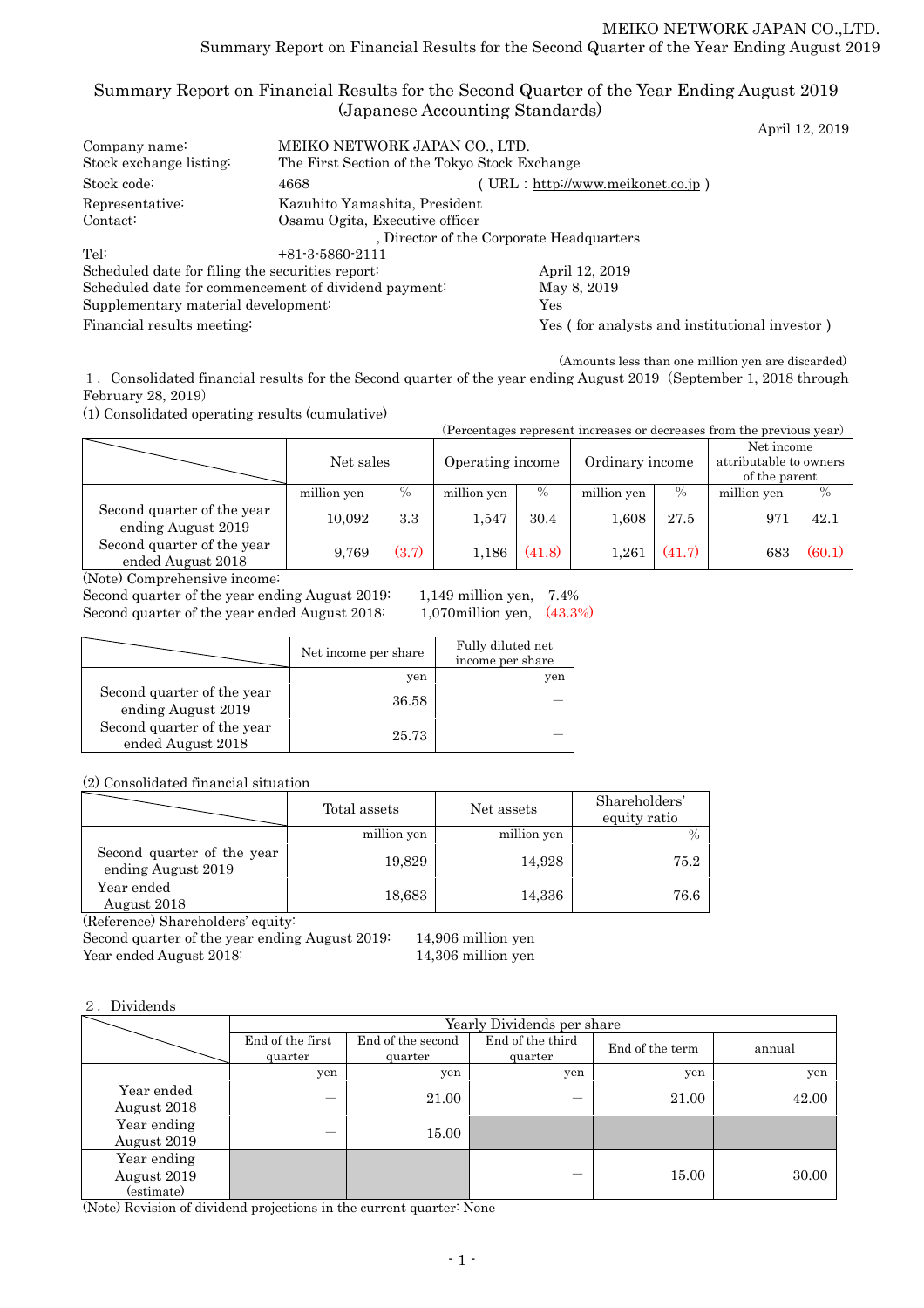# Summary Report on Financial Results for the Second Quarter of the Year Ending August 2019 (Japanese Accounting Standards)

|                                                  |                                                      | April 12, 2019                                |
|--------------------------------------------------|------------------------------------------------------|-----------------------------------------------|
| Company name:                                    | MEIKO NETWORK JAPAN CO., LTD.                        |                                               |
| Stock exchange listing:                          | The First Section of the Tokyo Stock Exchange        |                                               |
| Stock code:                                      | 4668                                                 | (URL: http://www.meikonet.co.jp)              |
| Representative:                                  | Kazuhito Yamashita, President                        |                                               |
| Contact:                                         | Osamu Ogita, Executive officer                       |                                               |
|                                                  |                                                      | , Director of the Corporate Headquarters      |
| Tel:                                             | $+81-3-5860-2111$                                    |                                               |
| Scheduled date for filing the securities report: |                                                      | April 12, 2019                                |
|                                                  | Scheduled date for commencement of dividend payment: | May 8, 2019                                   |
| Supplementary material development:              |                                                      | Yes                                           |
| Financial results meeting:                       |                                                      | Yes (for analysts and institutional investor) |
|                                                  |                                                      |                                               |

(Amounts less than one million yen are discarded) 1.Consolidated financial results for the Second quarter of the year ending August 2019(September 1, 2018 through February 28, 2019)

(1) Consolidated operating results (cumulative)

| (Percentages represent increases or decreases from the previous year) |             |       |                  |        |                 |        |                                                       |               |
|-----------------------------------------------------------------------|-------------|-------|------------------|--------|-----------------|--------|-------------------------------------------------------|---------------|
|                                                                       | Net sales   |       | Operating income |        | Ordinary income |        | Net income<br>attributable to owners<br>of the parent |               |
|                                                                       | million yen | $\%$  | million yen      | $\%$   | million yen     | $\%$   | million yen                                           | $\frac{0}{0}$ |
| Second quarter of the year<br>ending August 2019                      | 10,092      | 3.3   | 1,547            | 30.4   | 1,608           | 27.5   | 971                                                   | 42.1          |
| Second quarter of the year<br>ended August 2018                       | 9.769       | (3.7) | 1,186            | (41.8) | 1.261           | (41.7) | 683                                                   | (60.1)        |

(Note) Comprehensive income:

Second quarter of the year ending August 2019: 1,149 million yen, 7.4% Second quarter of the year ended August 2018: 1,070million yen, (43.3%)

|                                                  | Net income per share | Fully diluted net<br>income per share |
|--------------------------------------------------|----------------------|---------------------------------------|
|                                                  | yen                  | yen                                   |
| Second quarter of the year<br>ending August 2019 | 36.58                |                                       |
| Second quarter of the year<br>ended August 2018  | 25.73                |                                       |

(2) Consolidated financial situation

|                                                  | Total assets | Net assets  | Shareholders'<br>equity ratio |
|--------------------------------------------------|--------------|-------------|-------------------------------|
|                                                  | million yen  | million yen |                               |
| Second quarter of the year<br>ending August 2019 | 19,829       | 14,928      | 75.2                          |
| Year ended<br>August 2018                        | 18,683       | 14,336      | 76.6                          |

(Reference) Shareholders' equity:

Second quarter of the year ending August 2019: 14,906 million yen Year ended August 2018: 14,306 million yen

# 2.Dividends

|                                          | Yearly Dividends per share  |                              |                             |                 |        |  |
|------------------------------------------|-----------------------------|------------------------------|-----------------------------|-----------------|--------|--|
|                                          | End of the first<br>quarter | End of the second<br>quarter | End of the third<br>quarter | End of the term | annual |  |
|                                          | yen                         | yen                          | yen                         | yen             | yen    |  |
| Year ended<br>August 2018                |                             | 21.00                        |                             | 21.00           | 42.00  |  |
| Year ending<br>August 2019               |                             | 15.00                        |                             |                 |        |  |
| Year ending<br>August 2019<br>(estimate) |                             |                              |                             | 15.00           | 30.00  |  |

(Note) Revision of dividend projections in the current quarter: None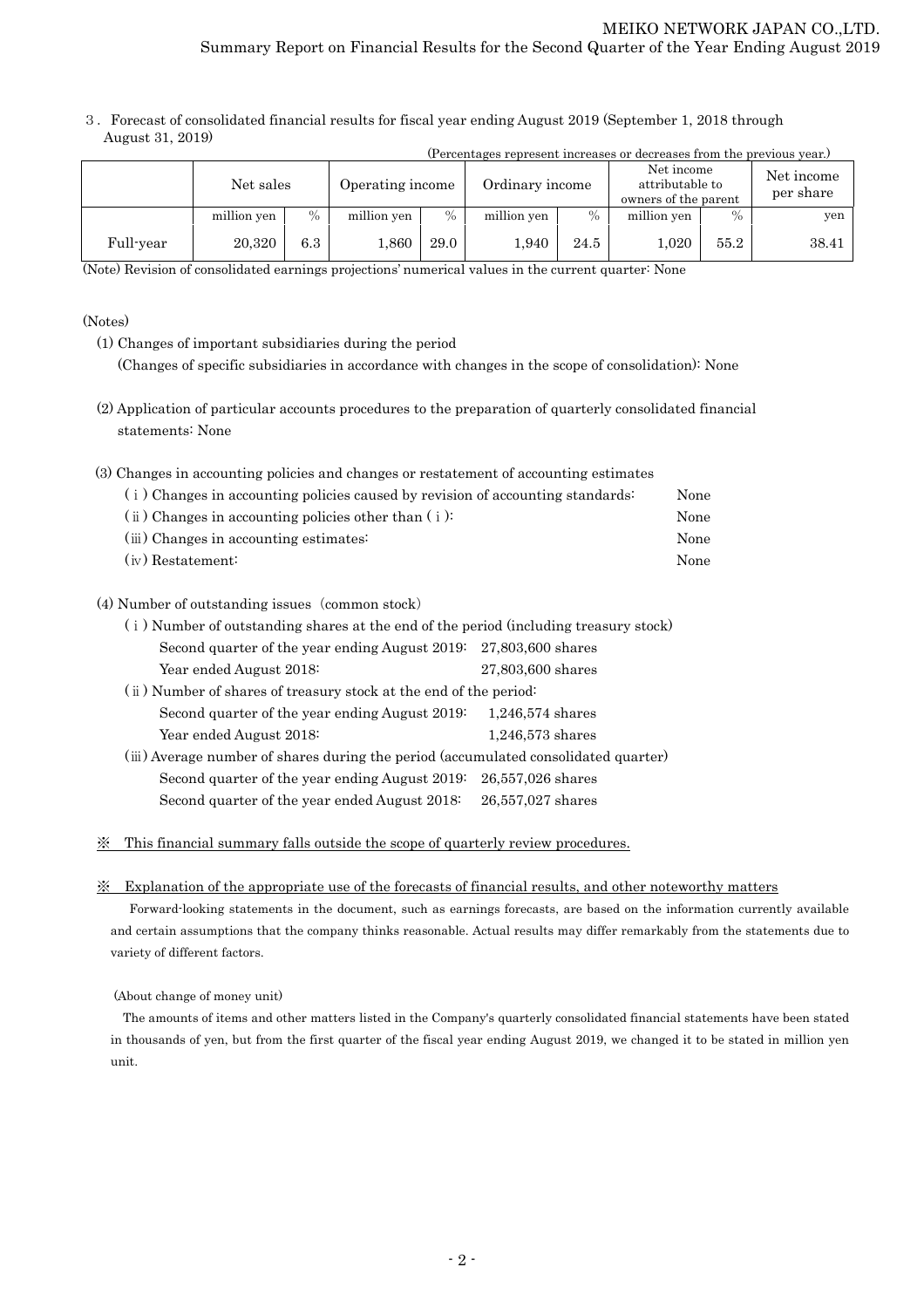3.Forecast of consolidated financial results for fiscal year ending August 2019 (September 1, 2018 through August 31, 2019)

|           | (Percentages represent increases or decreases from the previous year.) |         |                  |      |                 |      |                                                       |      |                         |  |
|-----------|------------------------------------------------------------------------|---------|------------------|------|-----------------|------|-------------------------------------------------------|------|-------------------------|--|
|           | Net sales                                                              |         | Operating income |      | Ordinary income |      | Net income<br>attributable to<br>owners of the parent |      | Net income<br>per share |  |
|           | million yen                                                            | $\%$    | million yen      | $\%$ | million yen     | $\%$ | million yen                                           | $\%$ | yen                     |  |
| Full-year | 20,320                                                                 | $6.3\,$ | 1,860            | 29.0 | 1,940           | 24.5 | 1,020                                                 | 55.2 | 38.41                   |  |

(Note) Revision of consolidated earnings projections' numerical values in the current quarter: None

#### (Notes)

- (1) Changes of important subsidiaries during the period (Changes of specific subsidiaries in accordance with changes in the scope of consolidation): None
- (2) Application of particular accounts procedures to the preparation of quarterly consolidated financial statements: None
- (3) Changes in accounting policies and changes or restatement of accounting estimates

| (i) Changes in accounting policies caused by revision of accounting standards: | None |
|--------------------------------------------------------------------------------|------|
| $(i)$ Changes in accounting policies other than $(i)$ :                        | None |
| (iii) Changes in accounting estimates:                                         | None |
| $(iv)$ Restatement:                                                            | None |

## (4) Number of outstanding issues (common stock)

| (i) Number of outstanding shares at the end of the period (including treasury stock) |                    |
|--------------------------------------------------------------------------------------|--------------------|
| Second quarter of the year ending August 2019: 27,803,600 shares                     |                    |
| Year ended August 2018:                                                              | 27,803,600 shares  |
| (ii) Number of shares of treasury stock at the end of the period:                    |                    |
| Second quarter of the year ending August 2019.                                       | $1,246,574$ shares |
| Year ended August 2018:                                                              | $1,246,573$ shares |
| (iii) Average number of shares during the period (accumulated consolidated quarter)  |                    |
| Second quarter of the year ending August 2019:                                       | 26,557,026 shares  |
| Second quarter of the year ended August 2018:                                        | 26,557,027 shares  |
|                                                                                      |                    |

## ※ This financial summary falls outside the scope of quarterly review procedures.

### ※ Explanation of the appropriate use of the forecasts of financial results, and other noteworthy matters

Forward-looking statements in the document, such as earnings forecasts, are based on the information currently available and certain assumptions that the company thinks reasonable. Actual results may differ remarkably from the statements due to variety of different factors.

### (About change of money unit)

The amounts of items and other matters listed in the Company's quarterly consolidated financial statements have been stated in thousands of yen, but from the first quarter of the fiscal year ending August 2019, we changed it to be stated in million yen unit.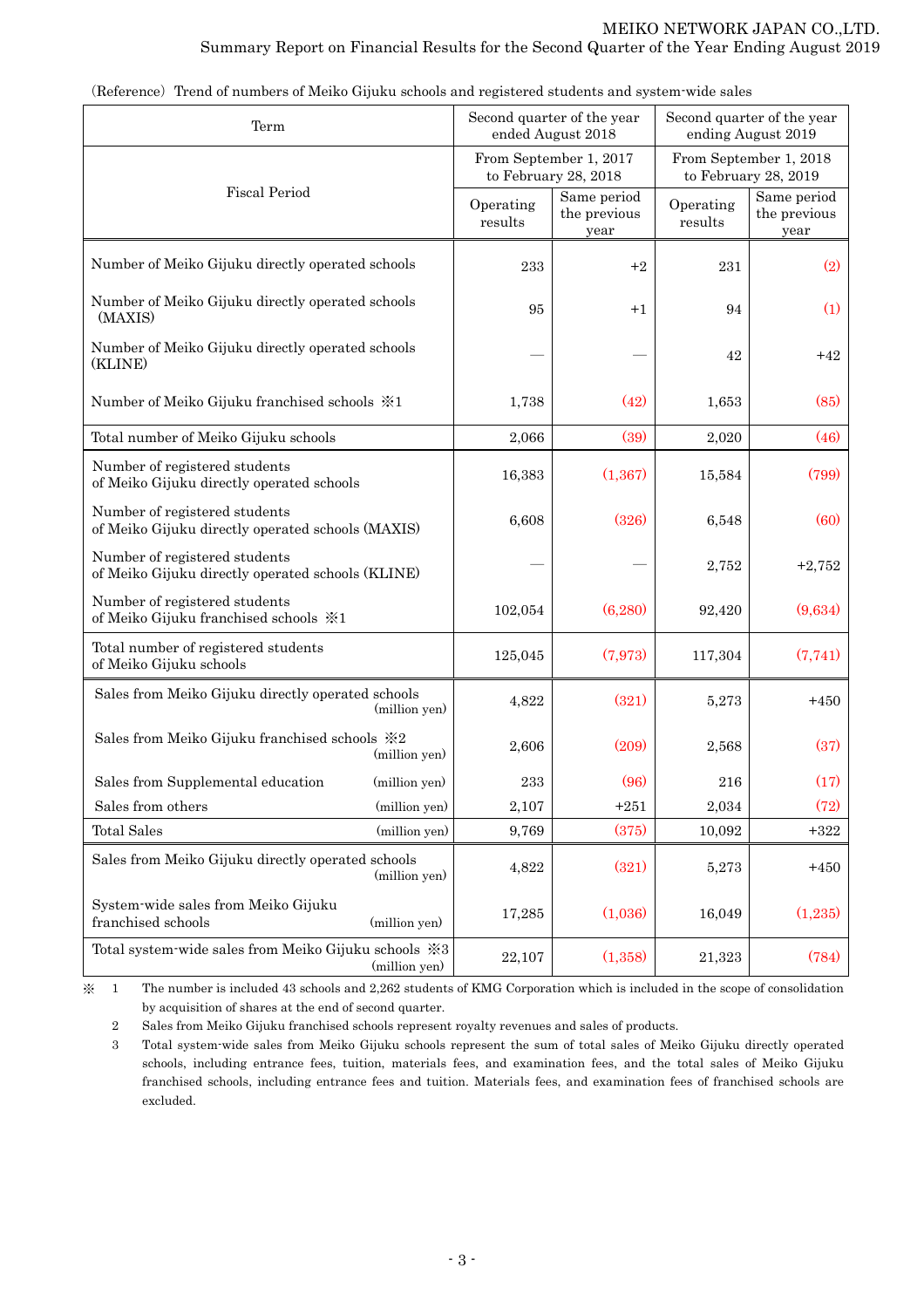| Term                                                                                   |                                                                                                  | Second quarter of the year<br>ended August 2018 | Second quarter of the year<br>ending August 2019 |                      |                                     |  |
|----------------------------------------------------------------------------------------|--------------------------------------------------------------------------------------------------|-------------------------------------------------|--------------------------------------------------|----------------------|-------------------------------------|--|
|                                                                                        | From September 1, 2017<br>From September 1, 2018<br>to February 28, 2018<br>to February 28, 2019 |                                                 |                                                  |                      |                                     |  |
| <b>Fiscal Period</b>                                                                   |                                                                                                  | Operating<br>results                            | Same period<br>the previous<br>year              | Operating<br>results | Same period<br>the previous<br>year |  |
| Number of Meiko Gijuku directly operated schools                                       |                                                                                                  | 233                                             | $+2$                                             | 231                  | (2)                                 |  |
| Number of Meiko Gijuku directly operated schools<br>(MAXIS)                            |                                                                                                  | 95                                              | $+1$                                             | 94                   | (1)                                 |  |
| Number of Meiko Gijuku directly operated schools<br>(KLINE)                            |                                                                                                  |                                                 |                                                  | 42                   | $+42$                               |  |
| Number of Meiko Gijuku franchised schools $\frac{1}{2}$ 1                              |                                                                                                  | 1,738                                           | (42)                                             | 1,653                | (85)                                |  |
| Total number of Meiko Gijuku schools                                                   |                                                                                                  | 2,066                                           | (39)                                             | 2,020                | (46)                                |  |
| Number of registered students<br>of Meiko Gijuku directly operated schools             |                                                                                                  | 16,383                                          | (1, 367)                                         | 15,584               | (799)                               |  |
| Number of registered students<br>of Meiko Gijuku directly operated schools (MAXIS)     |                                                                                                  | 6,608                                           | (326)                                            | 6,548                | (60)                                |  |
| Number of registered students<br>of Meiko Gijuku directly operated schools (KLINE)     |                                                                                                  |                                                 |                                                  | 2,752                | $+2,752$                            |  |
| Number of registered students<br>of Meiko Gijuku franchised schools $\divideontimes 1$ |                                                                                                  | 102,054                                         | (6,280)                                          | 92,420               | (9,634)                             |  |
| Total number of registered students<br>of Meiko Gijuku schools                         |                                                                                                  | 125,045                                         | (7,973)                                          | 117,304              | (7,741)                             |  |
| Sales from Meiko Gijuku directly operated schools                                      | (million yen)                                                                                    | 4,822                                           | (321)                                            | 5,273                | $+450$                              |  |
| Sales from Meiko Gijuku franchised schools $\divideontimes 2$                          | (million yen)                                                                                    | 2,606                                           | (209)                                            | 2,568                | (37)                                |  |
| Sales from Supplemental education                                                      | (million yen)                                                                                    | 233                                             | (96)                                             | 216                  | (17)                                |  |
| Sales from others                                                                      | (million yen)                                                                                    | 2,107                                           | $+251$                                           | 2,034                | (72)                                |  |
| <b>Total Sales</b>                                                                     | (million yen)                                                                                    | 9,769                                           | (375)                                            | 10,092               | $+322$                              |  |
| Sales from Meiko Gijuku directly operated schools                                      | (million yen)                                                                                    | 4,822                                           | (321)                                            | 5,273                | $+450$                              |  |
| System-wide sales from Meiko Gijuku<br>franchised schools                              | (million yen)                                                                                    | 17,285                                          | (1,036)                                          | 16,049               | (1,235)                             |  |
| Total system-wide sales from Meiko Gijuku schools ※3                                   | (million yen)                                                                                    | 22,107                                          | (1,358)                                          | 21,323               | (784)                               |  |

|  |  |  | (Reference) Trend of numbers of Meiko Gijuku schools and registered students and system wide sales |
|--|--|--|----------------------------------------------------------------------------------------------------|
|  |  |  |                                                                                                    |

※ 1 The number is included 43 schools and 2,262 students of KMG Corporation which is included in the scope of consolidation by acquisition of shares at the end of second quarter.

2 Sales from Meiko Gijuku franchised schools represent royalty revenues and sales of products.

 3 Total system-wide sales from Meiko Gijuku schools represent the sum of total sales of Meiko Gijuku directly operated schools, including entrance fees, tuition, materials fees, and examination fees, and the total sales of Meiko Gijuku franchised schools, including entrance fees and tuition. Materials fees, and examination fees of franchised schools are excluded.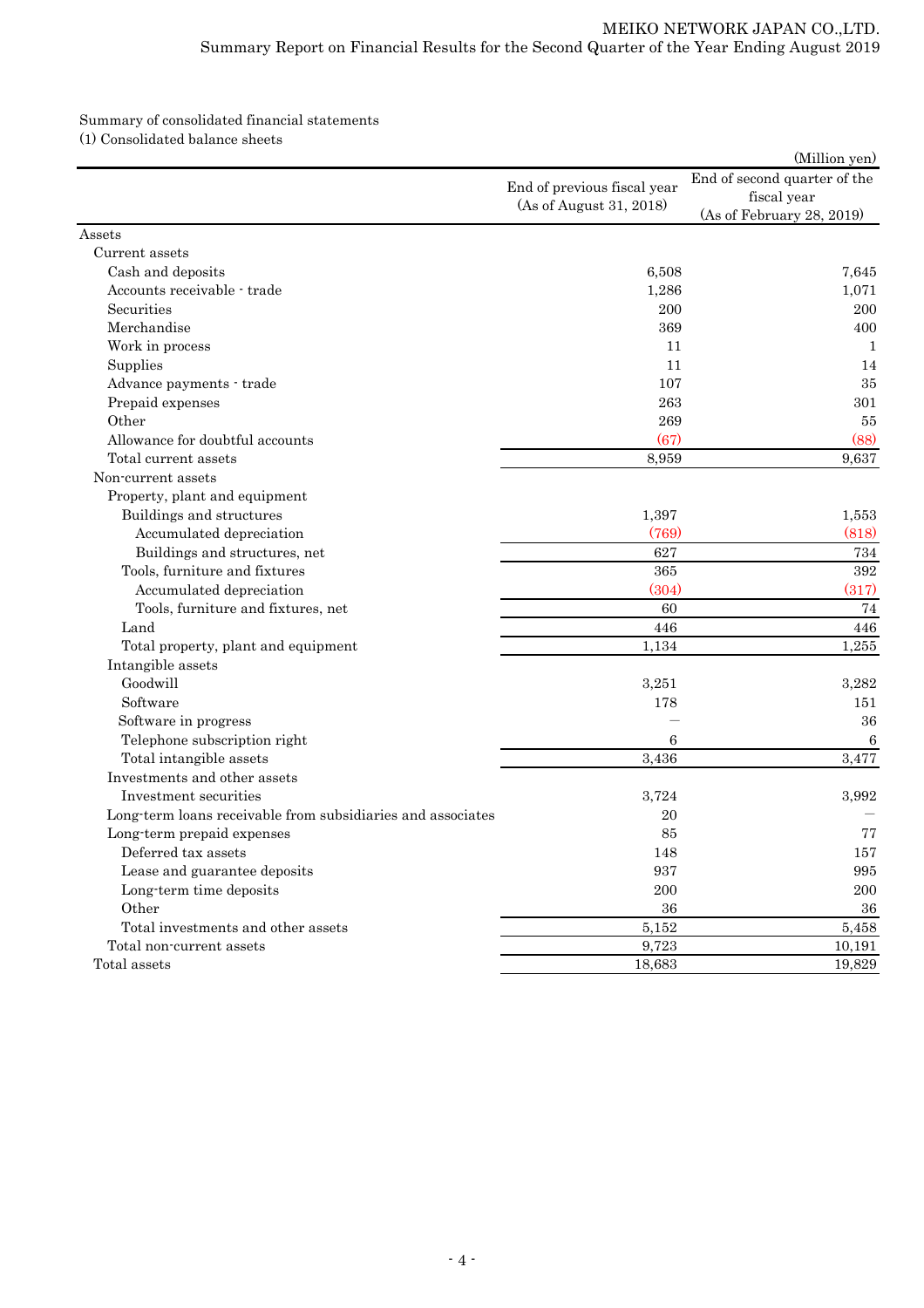#### Summary of consolidated financial statements (1) Consolidated balance sheets

|                                                             |                                                        | (Million yen)                                                            |
|-------------------------------------------------------------|--------------------------------------------------------|--------------------------------------------------------------------------|
|                                                             | End of previous fiscal year<br>(As of August 31, 2018) | End of second quarter of the<br>fiscal year<br>(As of February 28, 2019) |
| Assets                                                      |                                                        |                                                                          |
| Current assets                                              |                                                        |                                                                          |
| Cash and deposits                                           | 6,508                                                  | 7,645                                                                    |
| Accounts receivable - trade                                 | 1,286                                                  | 1,071                                                                    |
| Securities                                                  | 200                                                    | 200                                                                      |
| Merchandise                                                 | 369                                                    | 400                                                                      |
| Work in process                                             | 11                                                     | 1                                                                        |
| Supplies                                                    | 11                                                     | 14                                                                       |
| Advance payments - trade                                    | 107                                                    | 35                                                                       |
| Prepaid expenses                                            | 263                                                    | 301                                                                      |
| Other                                                       | 269                                                    | 55                                                                       |
| Allowance for doubtful accounts                             | (67)                                                   | (88)                                                                     |
| Total current assets                                        | 8,959                                                  | 9,637                                                                    |
| Non-current assets                                          |                                                        |                                                                          |
| Property, plant and equipment                               |                                                        |                                                                          |
| Buildings and structures                                    | 1,397                                                  | 1,553                                                                    |
| Accumulated depreciation                                    | (769)                                                  | (818)                                                                    |
| Buildings and structures, net                               | 627                                                    | 734                                                                      |
| Tools, furniture and fixtures                               | 365                                                    | 392                                                                      |
| Accumulated depreciation                                    | (304)                                                  | (317)                                                                    |
| Tools, furniture and fixtures, net                          | 60                                                     | 74                                                                       |
| Land                                                        | 446                                                    | 446                                                                      |
| Total property, plant and equipment                         | 1,134                                                  | 1,255                                                                    |
| Intangible assets                                           |                                                        |                                                                          |
| Goodwill                                                    | 3,251                                                  | 3,282                                                                    |
| Software                                                    | 178                                                    | 151                                                                      |
| Software in progress                                        |                                                        | 36                                                                       |
| Telephone subscription right                                | 6                                                      | 6                                                                        |
| Total intangible assets                                     | 3,436                                                  | 3,477                                                                    |
| Investments and other assets                                |                                                        |                                                                          |
| Investment securities                                       | 3,724                                                  | 3,992                                                                    |
| Long-term loans receivable from subsidiaries and associates | 20                                                     |                                                                          |
| Long-term prepaid expenses                                  | 85                                                     | 77                                                                       |
| Deferred tax assets                                         | 148                                                    | 157                                                                      |
| Lease and guarantee deposits                                | 937                                                    | 995                                                                      |
| Long-term time deposits                                     | 200                                                    | 200                                                                      |
| Other                                                       | 36                                                     | 36                                                                       |
| Total investments and other assets                          | 5,152                                                  | 5,458                                                                    |
| Total non-current assets                                    | 9,723                                                  | 10,191                                                                   |
| Total assets                                                | 18,683                                                 | 19,829                                                                   |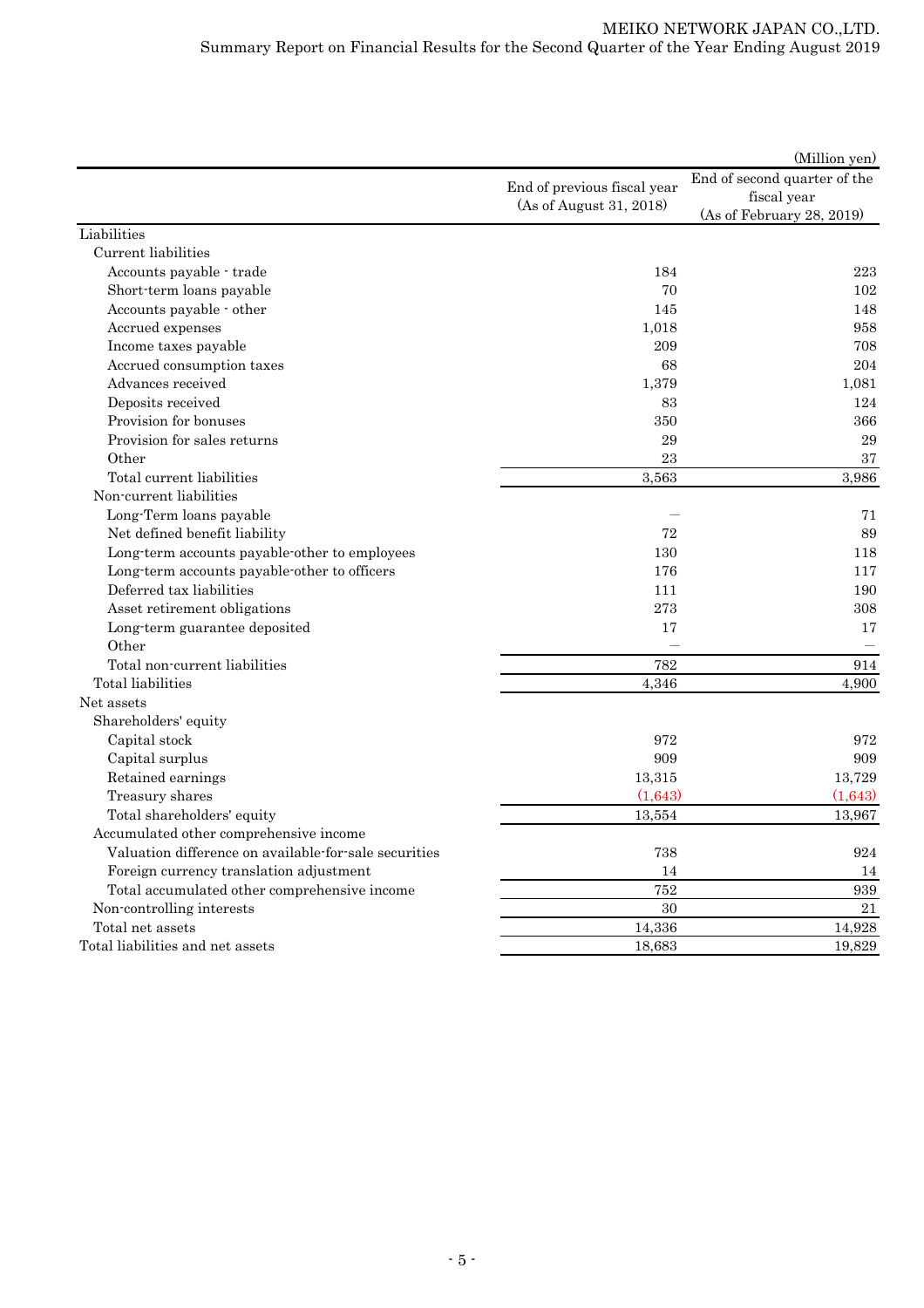|                                                       |                                                        | (Million yen)                                                            |
|-------------------------------------------------------|--------------------------------------------------------|--------------------------------------------------------------------------|
|                                                       | End of previous fiscal year<br>(As of August 31, 2018) | End of second quarter of the<br>fiscal year<br>(As of February 28, 2019) |
| Liabilities                                           |                                                        |                                                                          |
| Current liabilities                                   |                                                        |                                                                          |
| Accounts payable - trade                              | 184                                                    | 223                                                                      |
| Short-term loans payable                              | 70                                                     | 102                                                                      |
| Accounts payable - other                              | 145                                                    | 148                                                                      |
| Accrued expenses                                      | 1,018                                                  | 958                                                                      |
| Income taxes payable                                  | 209                                                    | 708                                                                      |
| Accrued consumption taxes                             | 68                                                     | 204                                                                      |
| Advances received                                     | 1,379                                                  | 1,081                                                                    |
| Deposits received                                     | 83                                                     | 124                                                                      |
| Provision for bonuses                                 | 350                                                    | 366                                                                      |
| Provision for sales returns                           | 29                                                     | $\,29$                                                                   |
| Other                                                 | 23                                                     | 37                                                                       |
| Total current liabilities                             | 3,563                                                  | 3,986                                                                    |
| Non-current liabilities                               |                                                        |                                                                          |
| Long-Term loans payable                               |                                                        | 71                                                                       |
| Net defined benefit liability                         | 72                                                     | 89                                                                       |
| Long-term accounts payable-other to employees         | 130                                                    | 118                                                                      |
| Long-term accounts payable-other to officers          | 176                                                    | 117                                                                      |
| Deferred tax liabilities                              | 111                                                    | 190                                                                      |
| Asset retirement obligations                          | 273                                                    | 308                                                                      |
| Long-term guarantee deposited                         | 17                                                     | 17                                                                       |
| Other                                                 |                                                        |                                                                          |
| Total non-current liabilities                         | 782                                                    | 914                                                                      |
| Total liabilities                                     | 4,346                                                  | 4,900                                                                    |
| Net assets                                            |                                                        |                                                                          |
| Shareholders' equity                                  |                                                        |                                                                          |
| Capital stock                                         | 972                                                    | 972                                                                      |
| Capital surplus                                       | 909                                                    | 909                                                                      |
| Retained earnings                                     | 13,315                                                 | 13,729                                                                   |
| Treasury shares                                       | (1,643)                                                | (1,643)                                                                  |
| Total shareholders' equity                            | 13,554                                                 | 13,967                                                                   |
| Accumulated other comprehensive income                |                                                        |                                                                          |
| Valuation difference on available-for-sale securities | 738                                                    | 924                                                                      |
| Foreign currency translation adjustment               | 14                                                     | 14                                                                       |
| Total accumulated other comprehensive income          | 752                                                    | 939                                                                      |
| Non-controlling interests                             | 30                                                     | 21                                                                       |
| Total net assets                                      | 14,336                                                 | 14,928                                                                   |
| Total liabilities and net assets                      | 18,683                                                 | 19,829                                                                   |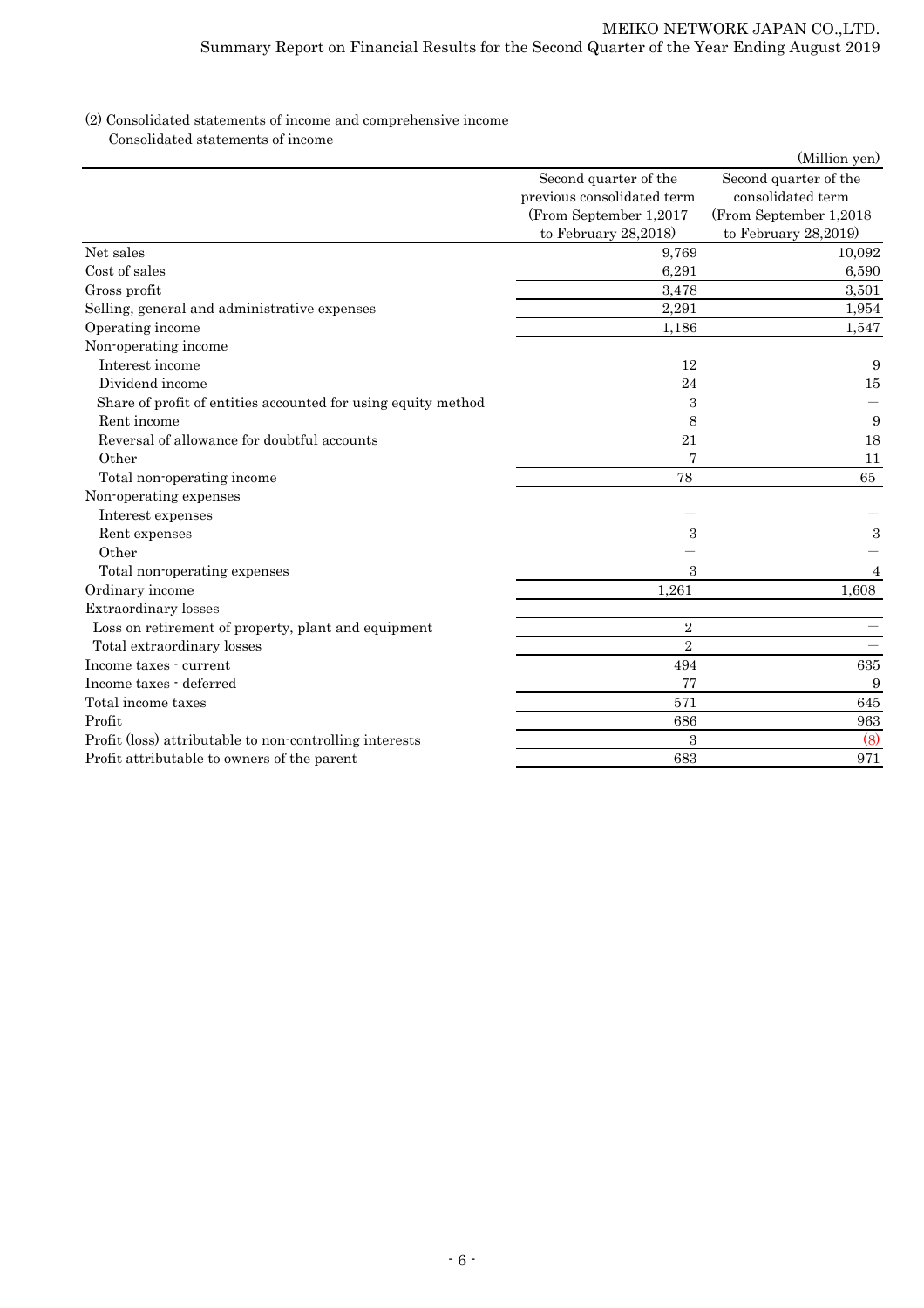## (2) Consolidated statements of income and comprehensive income Consolidated statements of income

|                                                               |                                                     | (Million yen)                              |
|---------------------------------------------------------------|-----------------------------------------------------|--------------------------------------------|
|                                                               | Second quarter of the<br>previous consolidated term | Second quarter of the<br>consolidated term |
|                                                               | (From September 1,2017                              | (From September 1,2018                     |
|                                                               | to February 28,2018)                                | to February $28,2019$                      |
| Net sales                                                     | 9,769                                               | 10,092                                     |
| Cost of sales                                                 | 6,291                                               | 6,590                                      |
| Gross profit                                                  | 3,478                                               | 3,501                                      |
| Selling, general and administrative expenses                  | 2,291                                               | 1,954                                      |
| Operating income                                              | 1,186                                               | 1,547                                      |
| Non-operating income                                          |                                                     |                                            |
| Interest income                                               | 12                                                  | 9                                          |
| Dividend income                                               | 24                                                  | 15                                         |
| Share of profit of entities accounted for using equity method | 3                                                   |                                            |
| Rent income                                                   | 8                                                   | 9                                          |
| Reversal of allowance for doubtful accounts                   | 21                                                  | 18                                         |
| Other                                                         |                                                     | 11                                         |
| Total non-operating income                                    | 78                                                  | 65                                         |
| Non-operating expenses                                        |                                                     |                                            |
| Interest expenses                                             |                                                     |                                            |
| Rent expenses                                                 | 3                                                   | 3                                          |
| Other                                                         |                                                     |                                            |
| Total non-operating expenses                                  | 3                                                   | 4                                          |
| Ordinary income                                               | 1,261                                               | 1,608                                      |
| Extraordinary losses                                          |                                                     |                                            |
| Loss on retirement of property, plant and equipment           | $\overline{2}$                                      |                                            |
| Total extraordinary losses                                    | $\overline{2}$                                      |                                            |
| Income taxes - current                                        | 494                                                 | 635                                        |
| Income taxes - deferred                                       | 77                                                  | 9                                          |
| Total income taxes                                            | 571                                                 | 645                                        |
| Profit                                                        | 686                                                 | 963                                        |
| Profit (loss) attributable to non-controlling interests       | $\boldsymbol{3}$                                    | (8)                                        |
| Profit attributable to owners of the parent                   | 683                                                 | 971                                        |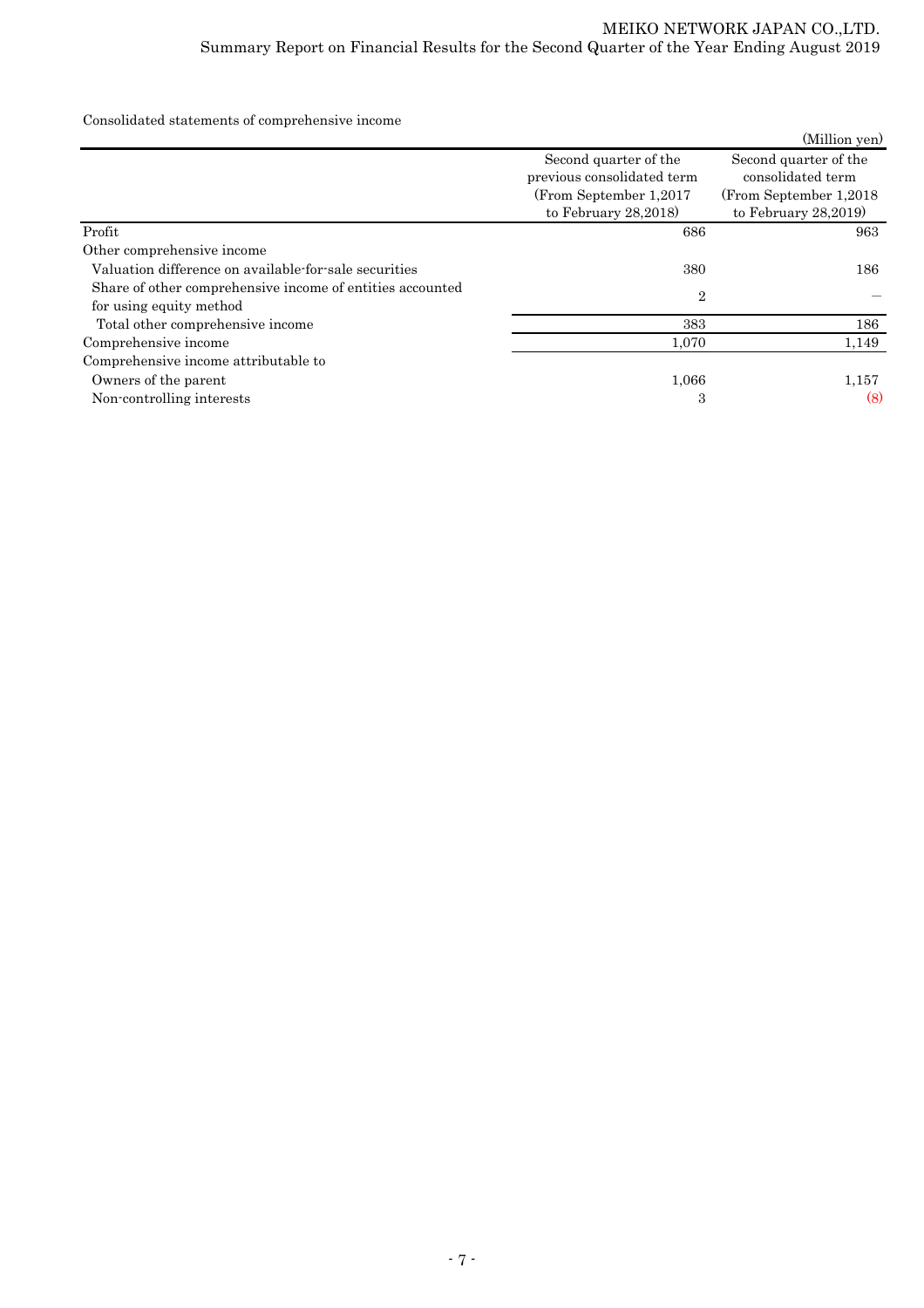Consolidated statements of comprehensive income

|                                                           |                            | (Million yen)           |
|-----------------------------------------------------------|----------------------------|-------------------------|
|                                                           | Second quarter of the      | Second quarter of the   |
|                                                           | previous consolidated term | consolidated term       |
|                                                           | (From September 1,2017     | (From September 1,2018) |
|                                                           | to February $28,2018$      | to February $28,2019$   |
| Profit                                                    | 686                        | 963                     |
| Other comprehensive income                                |                            |                         |
| Valuation difference on available-for-sale securities     | 380                        | 186                     |
| Share of other comprehensive income of entities accounted | $\overline{2}$             |                         |
| for using equity method                                   |                            |                         |
| Total other comprehensive income                          | 383                        | 186                     |
| Comprehensive income                                      | 1,070                      | 1,149                   |
| Comprehensive income attributable to                      |                            |                         |
| Owners of the parent                                      | 1,066                      | 1,157                   |
| Non-controlling interests                                 | 3                          | (8)                     |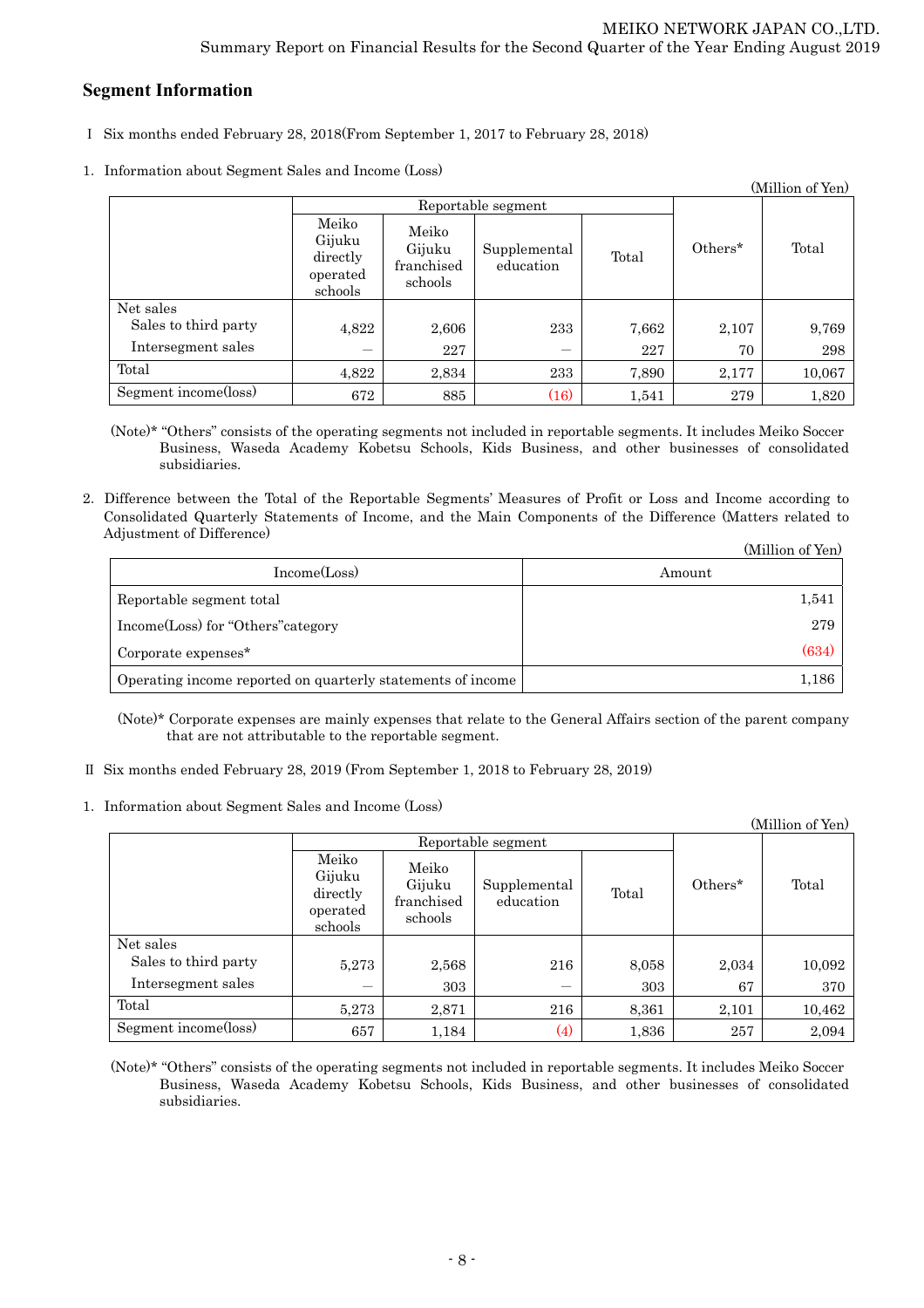# **Segment Information**

- Ⅰ Six months ended February 28, 2018(From September 1, 2017 to February 28, 2018)
- 1.Information about Segment Sales and Income (Loss)

| (Million of Yen)     |                                                    |                                          |                           |       |         |        |
|----------------------|----------------------------------------------------|------------------------------------------|---------------------------|-------|---------|--------|
|                      | Reportable segment                                 |                                          |                           |       |         |        |
|                      | Meiko<br>Gijuku<br>directly<br>operated<br>schools | Meiko<br>Gijuku<br>franchised<br>schools | Supplemental<br>education | Total | Others* | Total  |
| Net sales            |                                                    |                                          |                           |       |         |        |
| Sales to third party | 4,822                                              | 2,606                                    | 233                       | 7,662 | 2,107   | 9,769  |
| Intersegment sales   |                                                    | 227                                      |                           | 227   | 70      | 298    |
| Total                | 4,822                                              | 2,834                                    | 233                       | 7,890 | 2,177   | 10,067 |
| Segment income(loss) | 672                                                | 885                                      | (16)                      | 1,541 | 279     | 1,820  |

(Note)\* "Others" consists of the operating segments not included in reportable segments. It includes Meiko Soccer Business, Waseda Academy Kobetsu Schools, Kids Business, and other businesses of consolidated subsidiaries.

2.Difference between the Total of the Reportable Segments' Measures of Profit or Loss and Income according to Consolidated Quarterly Statements of Income, and the Main Components of the Difference (Matters related to Adjustment of Difference)  $(MT<sup>1</sup>)$ 

|                                                             | (Million of Yen) |
|-------------------------------------------------------------|------------------|
| Income(Loss)                                                | Amount           |
| Reportable segment total                                    | 1,541            |
| Income(Loss) for "Others" category                          | 279              |
| Corporate expenses <sup>*</sup>                             | (634)            |
| Operating income reported on quarterly statements of income | 1,186            |

(Note)\* Corporate expenses are mainly expenses that relate to the General Affairs section of the parent company that are not attributable to the reportable segment.

- Ⅱ Six months ended February 28, 2019 (From September 1, 2018 to February 28, 2019)
- 1.Information about Segment Sales and Income (Loss)

| (Million of Yen)     |                                                    |                                          |                           |       |         |        |
|----------------------|----------------------------------------------------|------------------------------------------|---------------------------|-------|---------|--------|
|                      | Reportable segment                                 |                                          |                           |       |         |        |
|                      | Meiko<br>Gijuku<br>directly<br>operated<br>schools | Meiko<br>Gijuku<br>franchised<br>schools | Supplemental<br>education | Total | Others* | Total  |
| Net sales            |                                                    |                                          |                           |       |         |        |
| Sales to third party | 5,273                                              | 2,568                                    | 216                       | 8,058 | 2,034   | 10,092 |
| Intersegment sales   |                                                    | 303                                      |                           | 303   | 67      | 370    |
| Total                | 5,273                                              | 2,871                                    | 216                       | 8,361 | 2,101   | 10,462 |
| Segment income(loss) | 657                                                | 1,184                                    | (4)                       | 1,836 | 257     | 2,094  |

(Note)\* "Others" consists of the operating segments not included in reportable segments. It includes Meiko Soccer Business, Waseda Academy Kobetsu Schools, Kids Business, and other businesses of consolidated subsidiaries.